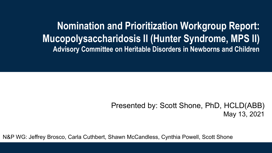**Nomination and Prioritization Workgroup Report: Mucopolysaccharidosis II (Hunter Syndrome, MPS II) Advisory Committee on Heritable Disorders in Newborns and Children**

#### Presented by: Scott Shone, PhD, HCLD(ABB) May 13, 2021

N&P WG: Jeffrey Brosco, Carla Cuthbert, Shawn McCandless, Cynthia Powell, Scott Shone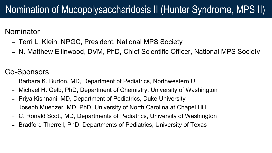### Nomination of Mucopolysaccharidosis II (Hunter Syndrome, MPS II)

#### Nominator

- Terri L. Klein, NPGC, President, National MPS Society
- N. Matthew Ellinwood, DVM, PhD, Chief Scientific Officer, National MPS Society

#### Co-Sponsors

- Barbara K. Burton, MD, Department of Pediatrics, Northwestern U
- Michael H. Gelb, PhD, Department of Chemistry, University of Washington
- Priya Kishnani, MD, Department of Pediatrics, Duke University
- Joseph Muenzer, MD, PhD, University of North Carolina at Chapel Hill
- C. Ronald Scott, MD, Departments of Pediatrics, University of Washington
- Bradford Therrell, PhD, Departments of Pediatrics, University of Texas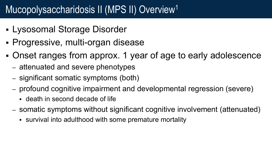### Mucopolysaccharidosis II (MPS II) Overview<sup>1</sup>

- Lysosomal Storage Disorder
- Progressive, multi-organ disease
- Onset ranges from approx. 1 year of age to early adolescence
	- attenuated and severe phenotypes
	- significant somatic symptoms (both)
	- profound cognitive impairment and developmental regression (severe)
		- death in second decade of life
	- somatic symptoms without significant cognitive involvement (attenuated)
		- survival into adulthood with some premature mortality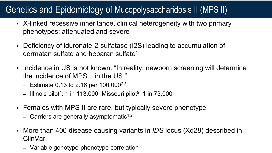#### Genetics and Epidemiology of Mucopolysaccharidosis II (MPS II)

- X-linked recessive inheritance, clinical heterogeneity with two primary phenotypes: attenuated and severe
- Deficiency of iduronate-2-sulfatase (I2S) leading to accumulation of dermatan sulfate and heparan sulfate1
- Incidence in US is not known. "In reality, newborn screening will determine the incidence of MPS II in the US."
	- Estimate 0.13 to 2.16 per  $100,000^{2,3}$
	- $-$  Illinois pilot<sup>4</sup>: 1 in 113,000, Missouri pilot<sup>5</sup>: 1 in 73,000
- Females with MPS II are rare, but typically severe phenotype
	- Carriers are generally asymptomatic<sup>1,2</sup>
- More than 400 disease causing variants in *IDS* locus (Xq28) described in ClinVar
	- Variable genotype-phenotype correlation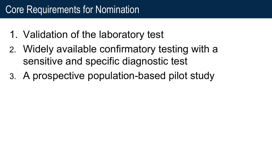- 1. Validation of the laboratory test
- 2. Widely available confirmatory testing with a sensitive and specific diagnostic test
- 3. A prospective population-based pilot study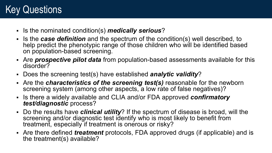#### Key Questions

- Is the nominated condition(s) **medically serious**?
- If is the **case definition** and the spectrum of the condition(s) well described, to help predict the phenotypic range of those children who will be identified based on population-based screening.
- Are *prospective pilot data* from population-based assessments available for this disorder?
- Does the screening test(s) have established *analytic validity*?
- Are the *characteristics of the screening test(s)* reasonable for the newborn screening system (among other aspects, a low rate of false negatives)?
- If there a widely available and CLIA and/or FDA approved *confirmatory test/diagnostic* process?
- Do the results have *clinical utility*? If the spectrum of disease is broad, will the screening and/or diagnostic test identify who is most likely to benefit from treatment, especially if treatment is onerous or risky?
- Are there defined *treatment* protocols, FDA approved drugs (if applicable) and is the treatment(s) available?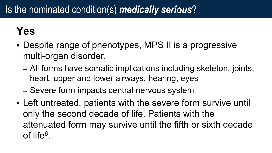#### Is the nominated condition(s) *medically serious*?

- Despite range of phenotypes, MPS II is a progressive multi-organ disorder.
	- All forms have somatic implications including skeleton, joints, heart, upper and lower airways, hearing, eyes
	- Severe form impacts central nervous system
- Left untreated, patients with the severe form survive until only the second decade of life. Patients with the attenuated form may survive until the fifth or sixth decade of life6.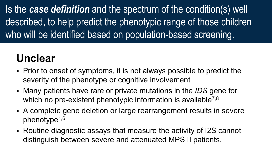Is the *case definition* and the spectrum of the condition(s) well described, to help predict the phenotypic range of those children who will be identified based on population-based screening.

## **Unclear**

- Prior to onset of symptoms, it is not always possible to predict the severity of the phenotype or cognitive involvement
- Many patients have rare or private mutations in the *IDS* gene for which no pre-existent phenotypic information is available<sup>7,8</sup>
- A complete gene deletion or large rearrangement results in severe phenotype1,6
- Routine diagnostic assays that measure the activity of I2S cannot distinguish between severe and attenuated MPS II patients.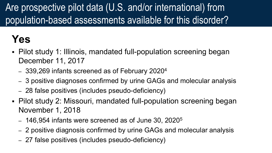## Are prospective pilot data (U.S. and/or international) from population-based assessments available for this disorder?

- Pilot study 1: Illinois, mandated full-population screening began December 11, 2017
	- 339,269 infants screened as of February 20204
	- 3 positive diagnoses confirmed by urine GAGs and molecular analysis
	- 28 false positives (includes pseudo-deficiency)
- Pilot study 2: Missouri, mandated full-population screening began November 1, 2018
	- $-$  146,954 infants were screened as of June 30, 2020<sup>5</sup>
	- 2 positive diagnosis confirmed by urine GAGs and molecular analysis
	- 27 false positives (includes pseudo-deficiency)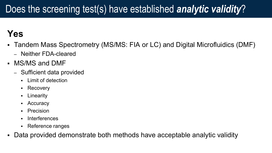### Does the screening test(s) have established *analytic validity*?

- Tandem Mass Spectrometry (MS/MS: FIA or LC) and Digital Microfluidics (DMF)
	- Neither FDA-cleared
- MS/MS and DMF
	- Sufficient data provided
		- **Limit of detection**
		- Recovery
		- **-** Linearity
		- Accuracy
		- **•** Precision
		- **Interferences**
		- Reference ranges
- Data provided demonstrate both methods have acceptable analytic validity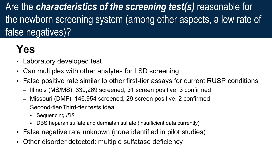Are the *characteristics of the screening test(s)* reasonable for the newborn screening system (among other aspects, a low rate of false negatives)?

- Laboratory developed test
- Can multiplex with other analytes for LSD screening
- False positive rate similar to other first-tier assays for current RUSP conditions
	- Illinois (MS/MS): 339,269 screened, 31 screen positive, 3 confirmed
	- Missouri (DMF): 146,954 screened, 29 screen positive, 2 confirmed
	- Second-tier/Third-tier tests ideal
		- Sequencing *IDS*
		- DBS heparan sulfate and dermatan sulfate (insufficient data currently)
- False negative rate unknown (none identified in pilot studies)
- Other disorder detected: multiple sulfatase deficiency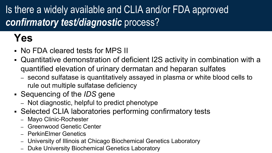## Is there a widely available and CLIA and/or FDA approved *confirmatory test/diagnostic* process?

- No FDA cleared tests for MPS II
- Quantitative demonstration of deficient I2S activity in combination with a quantified elevation of urinary dermatan and heparan sulfates
	- second sulfatase is quantitatively assayed in plasma or white blood cells to rule out multiple sulfatase deficiency
- Sequencing of the *IDS* gene
	- Not diagnostic, helpful to predict phenotype
- Selected CLIA laboratories performing confirmatory tests
	- Mayo Clinic-Rochester
	- Greenwood Genetic Center
	- PerkinElmer Genetics
	- University of Illinois at Chicago Biochemical Genetics Laboratory
	- Duke University Biochemical Genetics Laboratory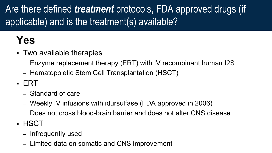## Are there defined *treatment* protocols, FDA approved drugs (if applicable) and is the treatment(s) available?

- Two available therapies
	- Enzyme replacement therapy (ERT) with IV recombinant human I2S
	- Hematopoietic Stem Cell Transplantation (HSCT)
- ERT
	- Standard of care
	- Weekly IV infusions with idursulfase (FDA approved in 2006)
	- Does not cross blood-brain barrier and does not alter CNS disease
- **· HSCT** 
	- Infrequently used
	- Limited data on somatic and CNS improvement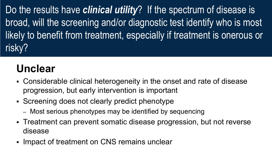Do the results have *clinical utility*? If the spectrum of disease is broad, will the screening and/or diagnostic test identify who is most likely to benefit from treatment, especially if treatment is onerous or risky?

# **Unclear**

- Considerable clinical heterogeneity in the onset and rate of disease progression, but early intervention is important
- Screening does not clearly predict phenotype
	- Most serious phenotypes may be identified by sequencing
- Treatment can prevent somatic disease progression, but not reverse disease
- **Impact of treatment on CNS remains unclear**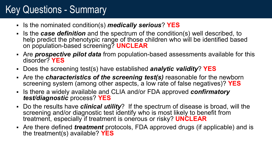## Key Questions - Summary

- Is the nominated condition(s) *medically serious*? **YES**
- If is the **case definition** and the spectrum of the condition(s) well described, to help predict the phenotypic range of those children who will be identified based on population-based screening? **UNCLEAR**
- Are *prospective pilot data* from population-based assessments available for this disorder? **YES**
- Does the screening test(s) have established *analytic validity*? **YES**
- Are the *characteristics of the screening test(s)* reasonable for the newborn screening system (among other aspects, a low rate of false negatives)? **YES**
- Is there a widely available and CLIA and/or FDA approved *confirmatory test/diagnostic* process? **YES**
- Do the results have *clinical utility*? If the spectrum of disease is broad, will the screening and/or diagnostic test identify who is most likely to benefit from treatment, especially if treatment is onerous or risky? **UNCLEAR**
- Are there defined *treatment* protocols, FDA approved drugs (if applicable) and is the treatment(s) available? **YES**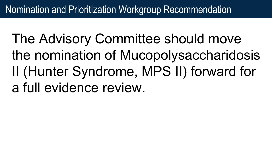### Nomination and Prioritization Workgroup Recommendation

The Advisory Committee should move the nomination of Mucopolysaccharidosis II (Hunter Syndrome, MPS II) forward for a full evidence review.